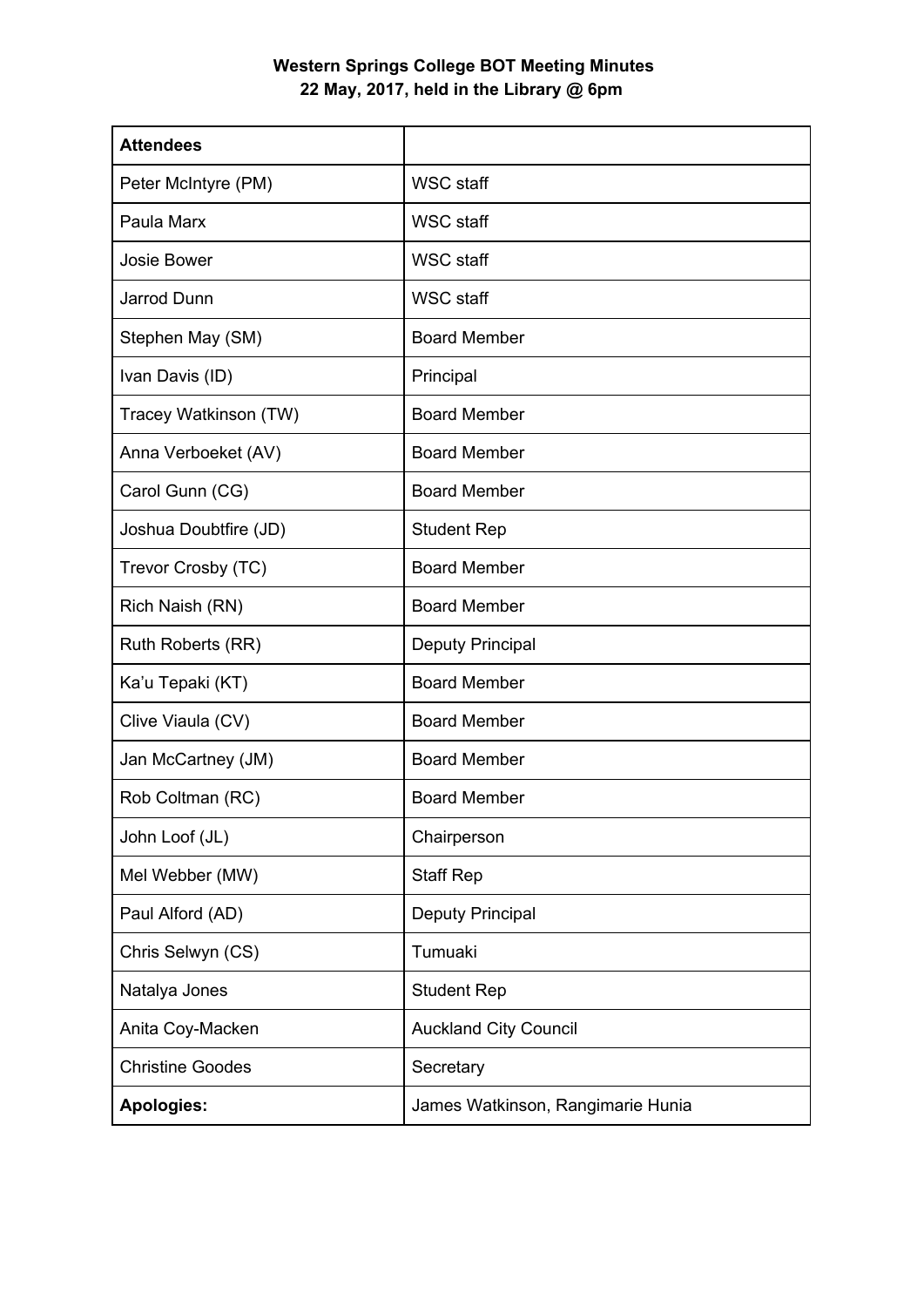## **Western Springs College BOT Meeting Minutes 22 May, 2017, held in the Library @ 6pm**

| <b>Attendees</b>        |                                   |
|-------------------------|-----------------------------------|
| Peter McIntyre (PM)     | <b>WSC staff</b>                  |
| Paula Marx              | <b>WSC staff</b>                  |
| Josie Bower             | <b>WSC staff</b>                  |
| Jarrod Dunn             | <b>WSC staff</b>                  |
| Stephen May (SM)        | <b>Board Member</b>               |
| Ivan Davis (ID)         | Principal                         |
| Tracey Watkinson (TW)   | <b>Board Member</b>               |
| Anna Verboeket (AV)     | <b>Board Member</b>               |
| Carol Gunn (CG)         | <b>Board Member</b>               |
| Joshua Doubtfire (JD)   | <b>Student Rep</b>                |
| Trevor Crosby (TC)      | <b>Board Member</b>               |
| Rich Naish (RN)         | <b>Board Member</b>               |
| Ruth Roberts (RR)       | <b>Deputy Principal</b>           |
| Ka'u Tepaki (KT)        | <b>Board Member</b>               |
| Clive Viaula (CV)       | <b>Board Member</b>               |
| Jan McCartney (JM)      | <b>Board Member</b>               |
| Rob Coltman (RC)        | <b>Board Member</b>               |
| John Loof (JL)          | Chairperson                       |
| Mel Webber (MW)         | <b>Staff Rep</b>                  |
| Paul Alford (AD)        | Deputy Principal                  |
| Chris Selwyn (CS)       | Tumuaki                           |
| Natalya Jones           | <b>Student Rep</b>                |
| Anita Coy-Macken        | <b>Auckland City Council</b>      |
| <b>Christine Goodes</b> | Secretary                         |
| <b>Apologies:</b>       | James Watkinson, Rangimarie Hunia |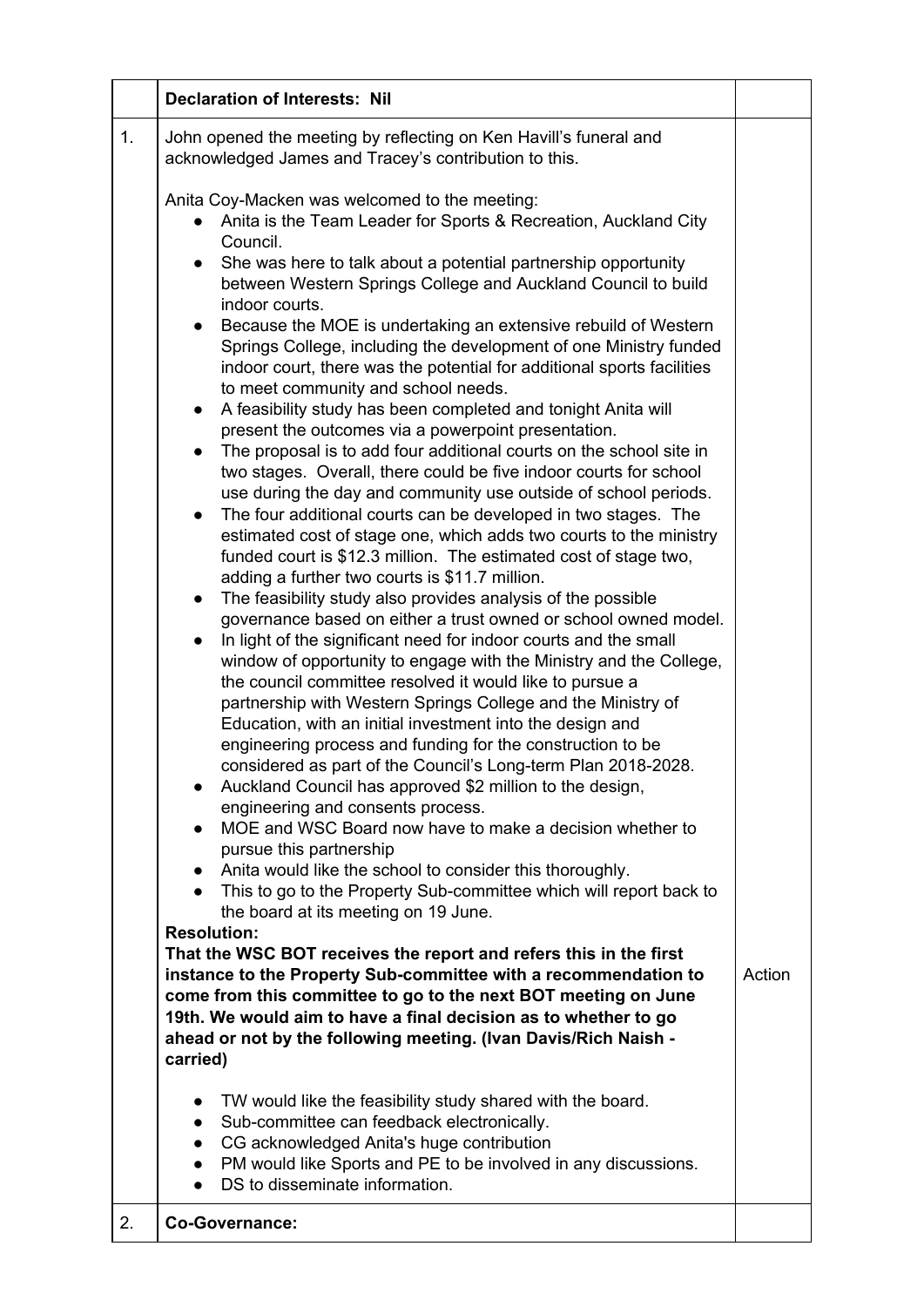|    | <b>Declaration of Interests: Nil</b>                                                                                                                                                                                                                                                                                                                                                                                                                                                                                                                                                                                                                                                                                                                                                                                                                                                                                                                                                                                                                                                                                                                                                                                                                                                                                                                                                                                                                                                                                                                                                                                                                                                                                                                                                                                                                                                                                                                                                                                                                                                                                                                                                                                                                |        |
|----|-----------------------------------------------------------------------------------------------------------------------------------------------------------------------------------------------------------------------------------------------------------------------------------------------------------------------------------------------------------------------------------------------------------------------------------------------------------------------------------------------------------------------------------------------------------------------------------------------------------------------------------------------------------------------------------------------------------------------------------------------------------------------------------------------------------------------------------------------------------------------------------------------------------------------------------------------------------------------------------------------------------------------------------------------------------------------------------------------------------------------------------------------------------------------------------------------------------------------------------------------------------------------------------------------------------------------------------------------------------------------------------------------------------------------------------------------------------------------------------------------------------------------------------------------------------------------------------------------------------------------------------------------------------------------------------------------------------------------------------------------------------------------------------------------------------------------------------------------------------------------------------------------------------------------------------------------------------------------------------------------------------------------------------------------------------------------------------------------------------------------------------------------------------------------------------------------------------------------------------------------------|--------|
| 1. | John opened the meeting by reflecting on Ken Havill's funeral and<br>acknowledged James and Tracey's contribution to this.                                                                                                                                                                                                                                                                                                                                                                                                                                                                                                                                                                                                                                                                                                                                                                                                                                                                                                                                                                                                                                                                                                                                                                                                                                                                                                                                                                                                                                                                                                                                                                                                                                                                                                                                                                                                                                                                                                                                                                                                                                                                                                                          |        |
|    | Anita Coy-Macken was welcomed to the meeting:<br>Anita is the Team Leader for Sports & Recreation, Auckland City<br>Council.<br>She was here to talk about a potential partnership opportunity<br>$\bullet$<br>between Western Springs College and Auckland Council to build<br>indoor courts.<br>Because the MOE is undertaking an extensive rebuild of Western<br>Springs College, including the development of one Ministry funded<br>indoor court, there was the potential for additional sports facilities<br>to meet community and school needs.<br>A feasibility study has been completed and tonight Anita will<br>$\bullet$<br>present the outcomes via a powerpoint presentation.<br>The proposal is to add four additional courts on the school site in<br>two stages. Overall, there could be five indoor courts for school<br>use during the day and community use outside of school periods.<br>The four additional courts can be developed in two stages. The<br>$\bullet$<br>estimated cost of stage one, which adds two courts to the ministry<br>funded court is \$12.3 million. The estimated cost of stage two,<br>adding a further two courts is \$11.7 million.<br>The feasibility study also provides analysis of the possible<br>$\bullet$<br>governance based on either a trust owned or school owned model.<br>In light of the significant need for indoor courts and the small<br>$\bullet$<br>window of opportunity to engage with the Ministry and the College,<br>the council committee resolved it would like to pursue a<br>partnership with Western Springs College and the Ministry of<br>Education, with an initial investment into the design and<br>engineering process and funding for the construction to be<br>considered as part of the Council's Long-term Plan 2018-2028.<br>Auckland Council has approved \$2 million to the design,<br>$\bullet$<br>engineering and consents process.<br>MOE and WSC Board now have to make a decision whether to<br>$\bullet$<br>pursue this partnership<br>Anita would like the school to consider this thoroughly.<br>$\bullet$<br>This to go to the Property Sub-committee which will report back to<br>the board at its meeting on 19 June.<br><b>Resolution:</b> |        |
|    | That the WSC BOT receives the report and refers this in the first<br>instance to the Property Sub-committee with a recommendation to<br>come from this committee to go to the next BOT meeting on June<br>19th. We would aim to have a final decision as to whether to go<br>ahead or not by the following meeting. (Ivan Davis/Rich Naish -<br>carried)                                                                                                                                                                                                                                                                                                                                                                                                                                                                                                                                                                                                                                                                                                                                                                                                                                                                                                                                                                                                                                                                                                                                                                                                                                                                                                                                                                                                                                                                                                                                                                                                                                                                                                                                                                                                                                                                                            | Action |
|    | TW would like the feasibility study shared with the board.<br>$\bullet$<br>Sub-committee can feedback electronically.<br>$\bullet$<br>CG acknowledged Anita's huge contribution<br>$\bullet$<br>PM would like Sports and PE to be involved in any discussions.<br>$\bullet$<br>DS to disseminate information.                                                                                                                                                                                                                                                                                                                                                                                                                                                                                                                                                                                                                                                                                                                                                                                                                                                                                                                                                                                                                                                                                                                                                                                                                                                                                                                                                                                                                                                                                                                                                                                                                                                                                                                                                                                                                                                                                                                                       |        |
| 2. | <b>Co-Governance:</b>                                                                                                                                                                                                                                                                                                                                                                                                                                                                                                                                                                                                                                                                                                                                                                                                                                                                                                                                                                                                                                                                                                                                                                                                                                                                                                                                                                                                                                                                                                                                                                                                                                                                                                                                                                                                                                                                                                                                                                                                                                                                                                                                                                                                                               |        |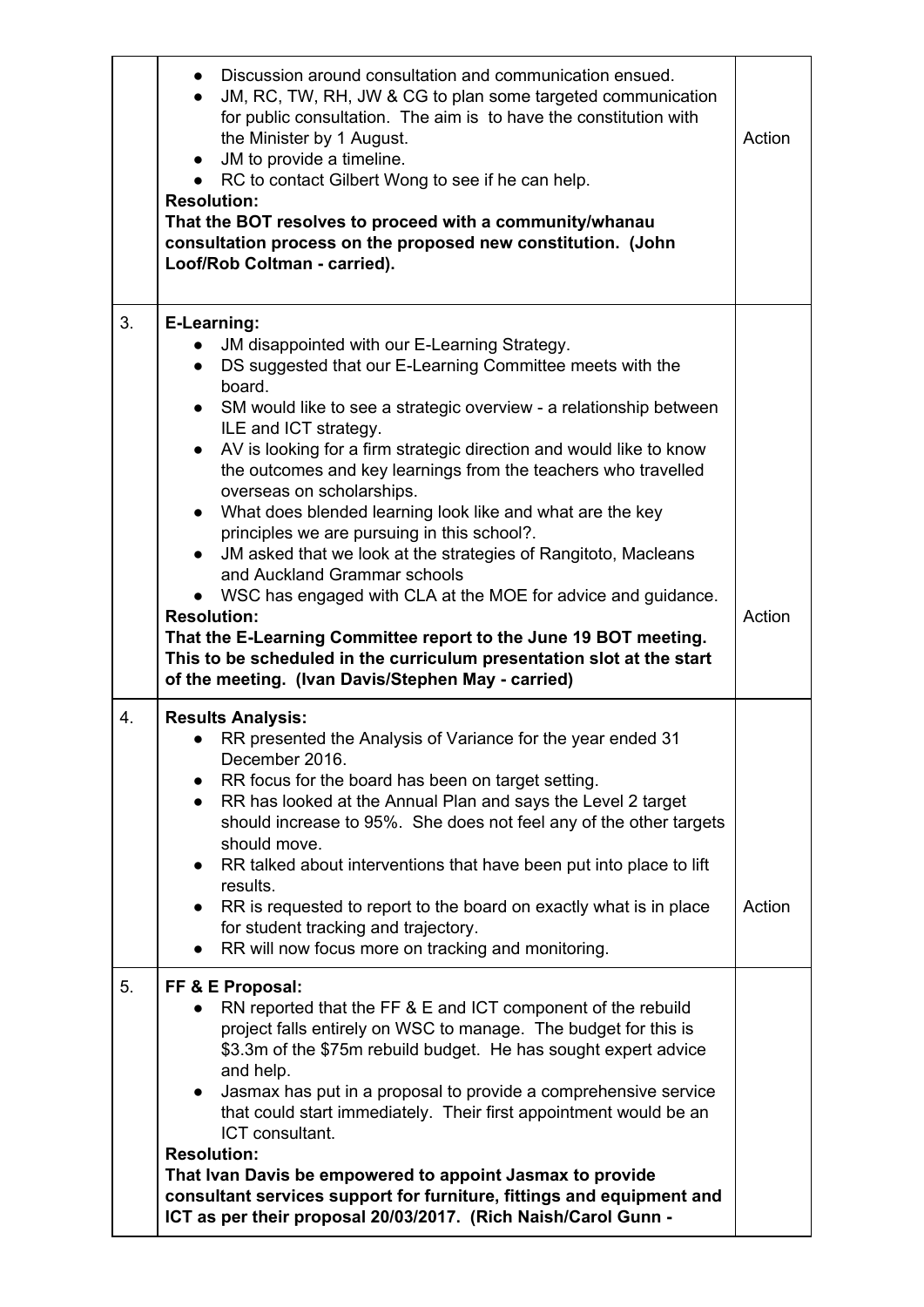|    | Discussion around consultation and communication ensued.<br>$\bullet$<br>JM, RC, TW, RH, JW & CG to plan some targeted communication<br>for public consultation. The aim is to have the constitution with<br>the Minister by 1 August.<br>JM to provide a timeline.<br>$\bullet$<br>• RC to contact Gilbert Wong to see if he can help.<br><b>Resolution:</b><br>That the BOT resolves to proceed with a community/whanau<br>consultation process on the proposed new constitution. (John<br>Loof/Rob Coltman - carried).                                                                                                                 | Action |
|----|-------------------------------------------------------------------------------------------------------------------------------------------------------------------------------------------------------------------------------------------------------------------------------------------------------------------------------------------------------------------------------------------------------------------------------------------------------------------------------------------------------------------------------------------------------------------------------------------------------------------------------------------|--------|
| 3. | E-Learning:<br>JM disappointed with our E-Learning Strategy.<br>DS suggested that our E-Learning Committee meets with the<br>$\bullet$<br>board.<br>SM would like to see a strategic overview - a relationship between<br>$\bullet$<br>ILE and ICT strategy.<br>AV is looking for a firm strategic direction and would like to know<br>$\bullet$<br>the outcomes and key learnings from the teachers who travelled<br>overseas on scholarships.<br>What does blended learning look like and what are the key<br>$\bullet$<br>principles we are pursuing in this school?.                                                                  |        |
|    | JM asked that we look at the strategies of Rangitoto, Macleans<br>and Auckland Grammar schools<br>WSC has engaged with CLA at the MOE for advice and guidance.<br><b>Resolution:</b><br>That the E-Learning Committee report to the June 19 BOT meeting.<br>This to be scheduled in the curriculum presentation slot at the start<br>of the meeting. (Ivan Davis/Stephen May - carried)                                                                                                                                                                                                                                                   | Action |
| 4. | <b>Results Analysis:</b><br>RR presented the Analysis of Variance for the year ended 31<br>December 2016.<br>RR focus for the board has been on target setting.<br>RR has looked at the Annual Plan and says the Level 2 target<br>$\bullet$<br>should increase to 95%. She does not feel any of the other targets<br>should move.<br>RR talked about interventions that have been put into place to lift<br>$\bullet$<br>results.<br>RR is requested to report to the board on exactly what is in place<br>$\bullet$<br>for student tracking and trajectory.<br>RR will now focus more on tracking and monitoring.                       | Action |
| 5. | FF & E Proposal:<br>RN reported that the FF & E and ICT component of the rebuild<br>project falls entirely on WSC to manage. The budget for this is<br>\$3.3m of the \$75m rebuild budget. He has sought expert advice<br>and help.<br>Jasmax has put in a proposal to provide a comprehensive service<br>$\bullet$<br>that could start immediately. Their first appointment would be an<br>ICT consultant.<br><b>Resolution:</b><br>That Ivan Davis be empowered to appoint Jasmax to provide<br>consultant services support for furniture, fittings and equipment and<br>ICT as per their proposal 20/03/2017. (Rich Naish/Carol Gunn - |        |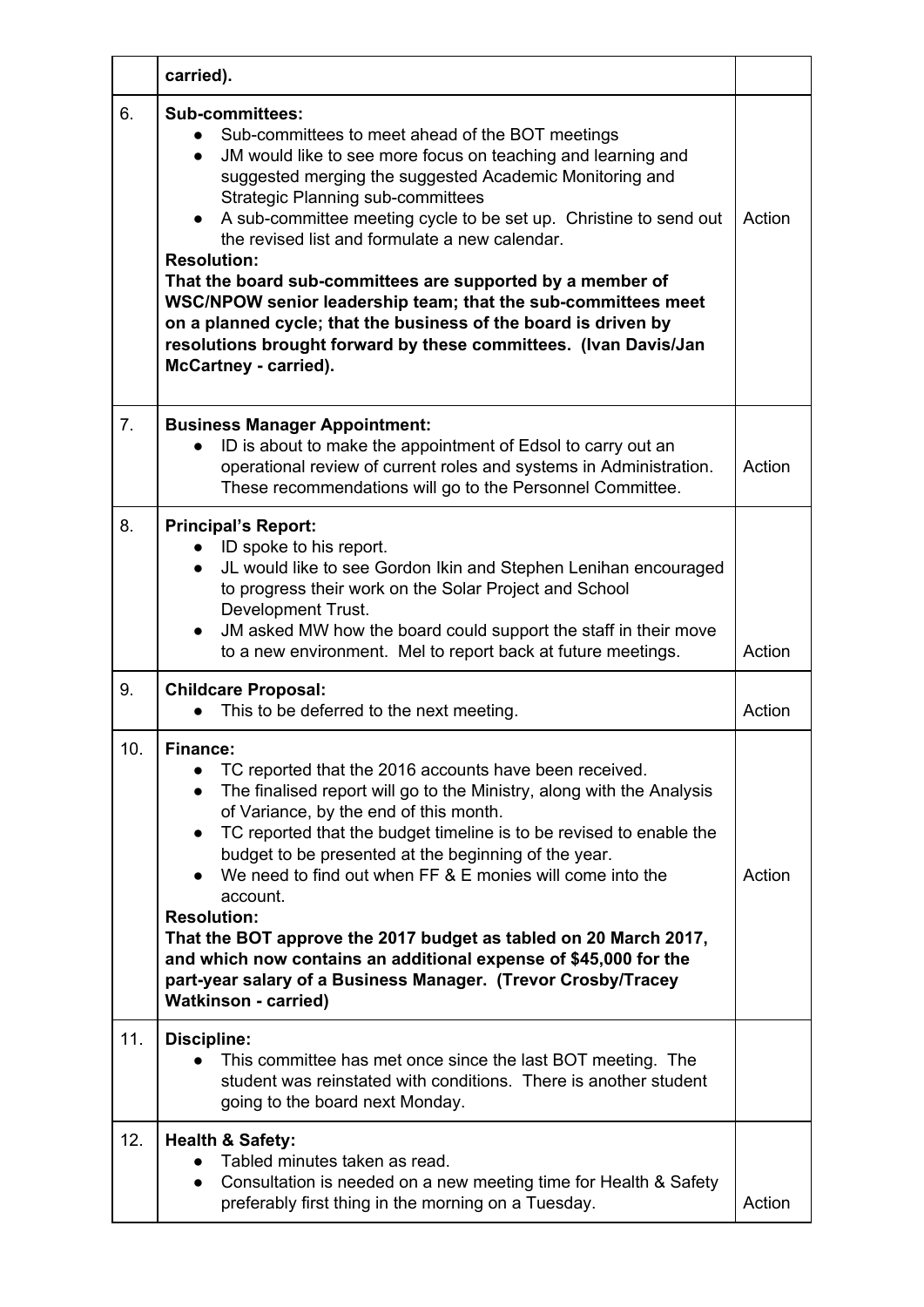|                 | carried).                                                                                                                                                                                                                                                                                                                                                                                                                                                                                                                                                                                                                                                                                                               |        |
|-----------------|-------------------------------------------------------------------------------------------------------------------------------------------------------------------------------------------------------------------------------------------------------------------------------------------------------------------------------------------------------------------------------------------------------------------------------------------------------------------------------------------------------------------------------------------------------------------------------------------------------------------------------------------------------------------------------------------------------------------------|--------|
| 6.              | <b>Sub-committees:</b><br>Sub-committees to meet ahead of the BOT meetings<br>$\bullet$<br>JM would like to see more focus on teaching and learning and<br>$\bullet$<br>suggested merging the suggested Academic Monitoring and<br><b>Strategic Planning sub-committees</b><br>A sub-committee meeting cycle to be set up. Christine to send out<br>the revised list and formulate a new calendar.<br><b>Resolution:</b><br>That the board sub-committees are supported by a member of<br>WSC/NPOW senior leadership team; that the sub-committees meet<br>on a planned cycle; that the business of the board is driven by<br>resolutions brought forward by these committees. (Ivan Davis/Jan<br>McCartney - carried). | Action |
| 7.              | <b>Business Manager Appointment:</b><br>ID is about to make the appointment of Edsol to carry out an<br>$\bullet$<br>operational review of current roles and systems in Administration.<br>These recommendations will go to the Personnel Committee.                                                                                                                                                                                                                                                                                                                                                                                                                                                                    | Action |
| 8.              | <b>Principal's Report:</b><br>ID spoke to his report.<br>JL would like to see Gordon Ikin and Stephen Lenihan encouraged<br>to progress their work on the Solar Project and School<br>Development Trust.<br>JM asked MW how the board could support the staff in their move<br>to a new environment. Mel to report back at future meetings.                                                                                                                                                                                                                                                                                                                                                                             | Action |
| 9.              | <b>Childcare Proposal:</b><br>This to be deferred to the next meeting.                                                                                                                                                                                                                                                                                                                                                                                                                                                                                                                                                                                                                                                  | Action |
| 10 <sub>1</sub> | Finance:<br>TC reported that the 2016 accounts have been received.<br>$\bullet$<br>The finalised report will go to the Ministry, along with the Analysis<br>$\bullet$<br>of Variance, by the end of this month.<br>TC reported that the budget timeline is to be revised to enable the<br>$\bullet$<br>budget to be presented at the beginning of the year.<br>We need to find out when FF & E monies will come into the<br>account.<br><b>Resolution:</b><br>That the BOT approve the 2017 budget as tabled on 20 March 2017,<br>and which now contains an additional expense of \$45,000 for the<br>part-year salary of a Business Manager. (Trevor Crosby/Tracey<br><b>Watkinson - carried)</b>                      | Action |
| 11.             | <b>Discipline:</b><br>This committee has met once since the last BOT meeting. The<br>student was reinstated with conditions. There is another student<br>going to the board next Monday.                                                                                                                                                                                                                                                                                                                                                                                                                                                                                                                                |        |
| 12.             | <b>Health &amp; Safety:</b><br>Tabled minutes taken as read.<br>Consultation is needed on a new meeting time for Health & Safety<br>$\bullet$<br>preferably first thing in the morning on a Tuesday.                                                                                                                                                                                                                                                                                                                                                                                                                                                                                                                    | Action |